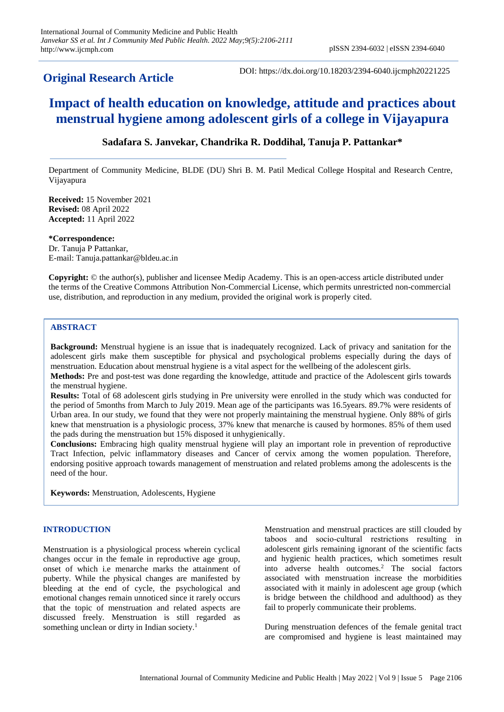# **Original Research Article**

DOI: https://dx.doi.org/10.18203/2394-6040.ijcmph20221225

# **Impact of health education on knowledge, attitude and practices about menstrual hygiene among adolescent girls of a college in Vijayapura**

# **Sadafara S. Janvekar, Chandrika R. Doddihal, Tanuja P. Pattankar\***

Department of Community Medicine, BLDE (DU) Shri B. M. Patil Medical College Hospital and Research Centre, Vijayapura

**Received:** 15 November 2021 **Revised:** 08 April 2022 **Accepted:** 11 April 2022

**\*Correspondence:** Dr. Tanuja P Pattankar, E-mail: Tanuja.pattankar@bldeu.ac.in

**Copyright:** © the author(s), publisher and licensee Medip Academy. This is an open-access article distributed under the terms of the Creative Commons Attribution Non-Commercial License, which permits unrestricted non-commercial use, distribution, and reproduction in any medium, provided the original work is properly cited.

# **ABSTRACT**

**Background:** Menstrual hygiene is an issue that is inadequately recognized. Lack of privacy and sanitation for the adolescent girls make them susceptible for physical and psychological problems especially during the days of menstruation. Education about menstrual hygiene is a vital aspect for the wellbeing of the adolescent girls.

**Methods:** Pre and post-test was done regarding the knowledge, attitude and practice of the Adolescent girls towards the menstrual hygiene.

**Results:** Total of 68 adolescent girls studying in Pre university were enrolled in the study which was conducted for the period of 5months from March to July 2019. Mean age of the participants was 16.5years. 89.7% were residents of Urban area. In our study, we found that they were not properly maintaining the menstrual hygiene. Only 88% of girls knew that menstruation is a physiologic process, 37% knew that menarche is caused by hormones. 85% of them used the pads during the menstruation but 15% disposed it unhygienically.

**Conclusions:** Embracing high quality menstrual hygiene will play an important role in prevention of reproductive Tract Infection, pelvic inflammatory diseases and Cancer of cervix among the women population. Therefore, endorsing positive approach towards management of menstruation and related problems among the adolescents is the need of the hour.

**Keywords:** Menstruation, Adolescents, Hygiene

## **INTRODUCTION**

Menstruation is a physiological process wherein cyclical changes occur in the female in reproductive age group, onset of which i.e menarche marks the attainment of puberty. While the physical changes are manifested by bleeding at the end of cycle, the psychological and emotional changes remain unnoticed since it rarely occurs that the topic of menstruation and related aspects are discussed freely. Menstruation is still regarded as something unclean or dirty in Indian society.<sup>1</sup>

Menstruation and menstrual practices are still clouded by taboos and socio‐cultural restrictions resulting in adolescent girls remaining ignorant of the scientific facts and hygienic health practices, which sometimes result into adverse health outcomes.<sup>2</sup> The social factors associated with menstruation increase the morbidities associated with it mainly in adolescent age group (which is bridge between the childhood and adulthood) as they fail to properly communicate their problems.

During menstruation defences of the female genital tract are compromised and hygiene is least maintained may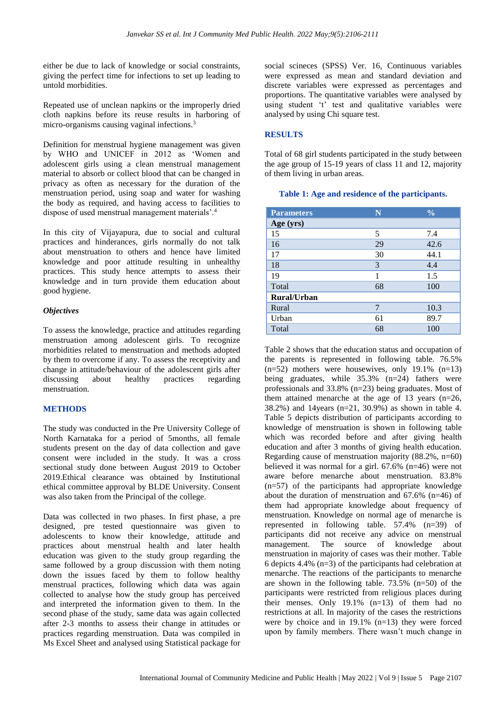either be due to lack of knowledge or social constraints, giving the perfect time for infections to set up leading to untold morbidities.

Repeated use of unclean napkins or the improperly dried cloth napkins before its reuse results in harboring of micro-organisms causing vaginal infections.<sup>3</sup>

Definition for menstrual hygiene management was given by WHO and UNICEF in 2012 as 'Women and adolescent girls using a clean menstrual management material to absorb or collect blood that can be changed in privacy as often as necessary for the duration of the menstruation period, using soap and water for washing the body as required, and having access to facilities to dispose of used menstrual management materials'.<sup>4</sup>

In this city of Vijayapura, due to social and cultural practices and hinderances, girls normally do not talk about menstruation to others and hence have limited knowledge and poor attitude resulting in unhealthy practices. This study hence attempts to assess their knowledge and in turn provide them education about good hygiene.

## *Objectives*

To assess the knowledge, practice and attitudes regarding menstruation among adolescent girls. To recognize morbidities related to menstruation and methods adopted by them to overcome if any. To assess the receptivity and change in attitude/behaviour of the adolescent girls after discussing about healthy practices regarding menstruation.

## **METHODS**

The study was conducted in the Pre University College of North Karnataka for a period of 5months, all female students present on the day of data collection and gave consent were included in the study. It was a cross sectional study done between August 2019 to October 2019.Ethical clearance was obtained by Institutional ethical committee approval by BLDE University. Consent was also taken from the Principal of the college.

Data was collected in two phases. In first phase, a pre designed, pre tested questionnaire was given to adolescents to know their knowledge, attitude and practices about menstrual health and later health education was given to the study group regarding the same followed by a group discussion with them noting down the issues faced by them to follow healthy menstrual practices, following which data was again collected to analyse how the study group has perceived and interpreted the information given to them. In the second phase of the study, same data was again collected after 2-3 months to assess their change in attitudes or practices regarding menstruation. Data was compiled in Ms Excel Sheet and analysed using Statistical package for

social scineces (SPSS) Ver. 16, Continuous variables were expressed as mean and standard deviation and discrete variables were expressed as percentages and proportions. The quantitative variables were analysed by using student 't' test and qualitative variables were analysed by using Chi square test.

## **RESULTS**

Total of 68 girl students participated in the study between the age group of 15-19 years of class 11 and 12, majority of them living in urban areas.

#### **Table 1: Age and residence of the participants.**

| <b>Parameters</b>  | N  | $\frac{0}{0}$ |
|--------------------|----|---------------|
| Age (yrs)          |    |               |
| 15                 | 5  | 7.4           |
| 16                 | 29 | 42.6          |
| 17                 | 30 | 44.1          |
| 18                 | 3  | 4.4           |
| 19                 | 1  | 1.5           |
| Total              | 68 | 100           |
| <b>Rural/Urban</b> |    |               |
| Rural              | 7  | 10.3          |
| Urban              | 61 | 89.7          |
| Total              | 68 | 100           |

Table 2 shows that the education status and occupation of the parents is represented in following table. 76.5%  $(n=52)$  mothers were housewives, only 19.1%  $(n=13)$ being graduates, while  $35.3\%$  (n=24) fathers were professionals and 33.8% (n=23) being graduates. Most of them attained menarche at the age of 13 years (n=26, 38.2%) and 14years (n=21, 30.9%) as shown in table 4. Table 5 depicts distribution of participants according to knowledge of menstruation is shown in following table which was recorded before and after giving health education and after 3 months of giving health education. Regarding cause of menstruation majority (88.2%, n=60) believed it was normal for a girl. 67.6% (n=46) were not aware before menarche about menstruation. 83.8% (n=57) of the participants had appropriate knowledge about the duration of menstruation and 67.6% (n=46) of them had appropriate knowledge about frequency of menstruation. Knowledge on normal age of menarche is represented in following table. 57.4% (n=39) of participants did not receive any advice on menstrual management. The source of knowledge about menstruation in majority of cases was their mother. Table 6 depicts 4.4% (n=3) of the participants had celebration at menarche. The reactions of the participants to menarche are shown in the following table. 73.5% (n=50) of the participants were restricted from religious places during their menses. Only 19.1% (n=13) of them had no restrictions at all. In majority of the cases the restrictions were by choice and in 19.1% (n=13) they were forced upon by family members. There wasn't much change in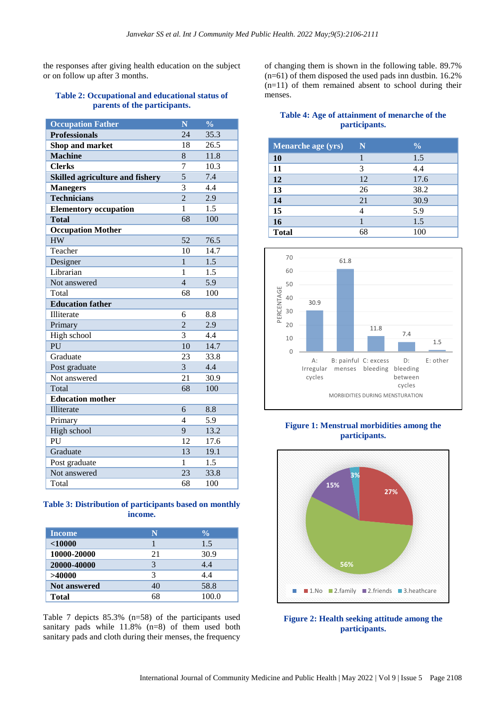the responses after giving health education on the subject or on follow up after 3 months.

#### **Table 2: Occupational and educational status of parents of the participants.**

| <b>Occupation Father</b>               | Ñ              | $\frac{0}{0}$    |
|----------------------------------------|----------------|------------------|
| <b>Professionals</b>                   | 24             | 35.3             |
| Shop and market                        | 18             | 26.5             |
| <b>Machine</b>                         | 8              | 11.8             |
| <b>Clerks</b>                          | $\overline{7}$ | 10.3             |
| <b>Skilled agriculture and fishery</b> | $\overline{5}$ | 7.4              |
| <b>Manegers</b>                        | 3              | 4.4              |
| <b>Technicians</b>                     | $\overline{2}$ | 2.9              |
| <b>Elementory occupation</b>           | 1              | 1.5              |
| <b>Total</b>                           | 68             | 100              |
| <b>Occupation Mother</b>               |                |                  |
| <b>HW</b>                              | 52             | 76.5             |
| Teacher                                | 10             | 14.7             |
| Designer                               | $\mathbf{1}$   | $\overline{1.5}$ |
| Librarian                              | $\mathbf{1}$   | 1.5              |
| Not answered                           | $\overline{4}$ | 5.9              |
| Total                                  | 68             | 100              |
| <b>Education father</b>                |                |                  |
| Illiterate                             | 6              | 8.8              |
| Primary                                | $\overline{2}$ | 2.9              |
| High school                            | 3              | 4.4              |
| PU                                     | 10             | 14.7             |
| Graduate                               | 23             | 33.8             |
| Post graduate                          | 3              | 4.4              |
| Not answered                           | 21             | 30.9             |
| Total                                  | 68             | 100              |
| <b>Education mother</b>                |                |                  |
| Illiterate                             | 6              | 8.8              |
| Primary                                | 4              | 5.9              |
| High school                            | 9              | 13.2             |
| PU                                     | 12             | 17.6             |
| Graduate                               | 13             | 19.1             |
| Post graduate                          | 1              | 1.5              |
| Not answered                           | 23             | 33.8             |
| Total                                  | 68             | 100              |

## **Table 3: Distribution of participants based on monthly income.**

| <b>Income</b>       | N  | $\frac{0}{0}$ |
|---------------------|----|---------------|
| $<$ 10000           |    | 1.5           |
| 10000-20000         | 21 | 30.9          |
| 20000-40000         | 3  | 4.4           |
| >40000              | 3  | 4.4           |
| <b>Not answered</b> | 40 | 58.8          |
| <b>Total</b>        | 68 | 100.0         |

Table 7 depicts 85.3% (n=58) of the participants used sanitary pads while 11.8% (n=8) of them used both sanitary pads and cloth during their menses, the frequency

of changing them is shown in the following table. 89.7%  $(n=61)$  of them disposed the used pads inn dustbin. 16.2%  $(n=11)$  of them remained absent to school during their menses.

#### **Table 4: Age of attainment of menarche of the participants.**

| <b>Menarche age (yrs)</b> | N  | $\frac{0}{0}$ |
|---------------------------|----|---------------|
| 10                        |    | 1.5           |
| 11                        | 3  | 4.4           |
| 12                        | 12 | 17.6          |
| 13                        | 26 | 38.2          |
| 14                        | 21 | 30.9          |
| 15                        |    | 5.9           |
| 16                        |    | 1.5           |
| <b>Total</b>              | 68 | 100           |



# **Figure 1: Menstrual morbidities among the participants.**



**Figure 2: Health seeking attitude among the participants.**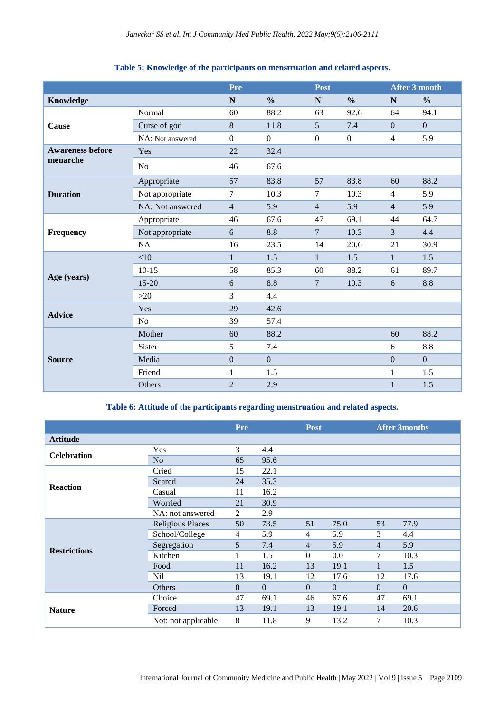|                                                                                                                                                                                                                                                                                                                                                                                                   |                                                                                                                                | <b>Pre</b>     |                | <b>Post</b>      |                  |                        | <b>After 3 month</b> |  |
|---------------------------------------------------------------------------------------------------------------------------------------------------------------------------------------------------------------------------------------------------------------------------------------------------------------------------------------------------------------------------------------------------|--------------------------------------------------------------------------------------------------------------------------------|----------------|----------------|------------------|------------------|------------------------|----------------------|--|
| Knowledge                                                                                                                                                                                                                                                                                                                                                                                         |                                                                                                                                | $\mathbf N$    | $\frac{0}{0}$  | $\mathbf N$      | $\frac{0}{0}$    | N                      | $\frac{6}{6}$        |  |
|                                                                                                                                                                                                                                                                                                                                                                                                   | Normal                                                                                                                         | 60             | 88.2           | 63               | 92.6             | 64                     | 94.1                 |  |
| Cause                                                                                                                                                                                                                                                                                                                                                                                             | Curse of god                                                                                                                   | 8              | 11.8           | $\mathfrak{S}$   | 7.4              | $\mathbf{0}$           | $\mathbf{0}$         |  |
|                                                                                                                                                                                                                                                                                                                                                                                                   | NA: Not answered                                                                                                               | $\overline{0}$ | $\overline{0}$ | $\boldsymbol{0}$ | $\boldsymbol{0}$ | $\overline{4}$         | 5.9                  |  |
| <b>Awareness before</b>                                                                                                                                                                                                                                                                                                                                                                           | Yes                                                                                                                            | 22             | 32.4           |                  |                  |                        |                      |  |
|                                                                                                                                                                                                                                                                                                                                                                                                   | N <sub>o</sub>                                                                                                                 | 46             | 67.6           |                  |                  |                        |                      |  |
| menarche<br>Appropriate<br>57<br><b>Duration</b><br>Not appropriate<br>7<br>NA: Not answered<br>$\overline{4}$<br>Appropriate<br>46<br>Not appropriate<br>6<br>Frequency<br>16<br><b>NA</b><br>$<$ 10<br>1<br>58<br>$10 - 15$<br>Age (years)<br>$15 - 20$<br>6<br>$>20$<br>3<br>29<br>Yes<br><b>Advice</b><br>No<br>39<br>Mother<br>60<br>Sister<br>5<br>$\overline{0}$<br><b>Source</b><br>Media |                                                                                                                                | 83.8           | 57             | 83.8             | 60               | 88.2                   |                      |  |
|                                                                                                                                                                                                                                                                                                                                                                                                   |                                                                                                                                | 10.3           | $\tau$         | 10.3             | $\overline{4}$   | 5.9                    |                      |  |
|                                                                                                                                                                                                                                                                                                                                                                                                   |                                                                                                                                |                | 5.9            | $\overline{4}$   | 5.9              | $\overline{4}$         | 5.9                  |  |
|                                                                                                                                                                                                                                                                                                                                                                                                   |                                                                                                                                |                | 67.6           | 47               | 69.1             | 44                     | 64.7                 |  |
|                                                                                                                                                                                                                                                                                                                                                                                                   |                                                                                                                                |                | 8.8            | $\overline{7}$   | 10.3             | 3                      | 4.4                  |  |
|                                                                                                                                                                                                                                                                                                                                                                                                   |                                                                                                                                |                | 23.5           | 14               | 20.6             | 21                     | 30.9                 |  |
|                                                                                                                                                                                                                                                                                                                                                                                                   |                                                                                                                                |                | 1.5            | $\mathbf{1}$     | 1.5              | $\mathbf{1}$           | 1.5                  |  |
|                                                                                                                                                                                                                                                                                                                                                                                                   |                                                                                                                                |                | 85.3           | 60               | 88.2             | 61                     | 89.7                 |  |
|                                                                                                                                                                                                                                                                                                                                                                                                   |                                                                                                                                |                | 8.8            | $\overline{7}$   | 10.3             | 6                      | 8.8                  |  |
|                                                                                                                                                                                                                                                                                                                                                                                                   |                                                                                                                                |                | 4.4            |                  |                  |                        |                      |  |
|                                                                                                                                                                                                                                                                                                                                                                                                   |                                                                                                                                |                | 42.6           |                  |                  | 88.2<br>60<br>8.8<br>6 |                      |  |
|                                                                                                                                                                                                                                                                                                                                                                                                   |                                                                                                                                |                | 57.4           |                  |                  |                        |                      |  |
|                                                                                                                                                                                                                                                                                                                                                                                                   |                                                                                                                                |                | 88.2           |                  |                  |                        |                      |  |
|                                                                                                                                                                                                                                                                                                                                                                                                   | 7.4<br>$\overline{0}$<br>$\mathbf{0}$<br>Friend<br>1.5<br>$\mathbf{1}$<br>1<br>Others<br>$\overline{2}$<br>2.9<br>$\mathbf{1}$ |                |                |                  |                  |                        |                      |  |
|                                                                                                                                                                                                                                                                                                                                                                                                   |                                                                                                                                |                |                |                  |                  |                        | $\overline{0}$       |  |
|                                                                                                                                                                                                                                                                                                                                                                                                   |                                                                                                                                |                |                |                  |                  |                        | 1.5                  |  |
|                                                                                                                                                                                                                                                                                                                                                                                                   |                                                                                                                                |                |                |                  |                  |                        | 1.5                  |  |

# **Table 5: Knowledge of the participants on menstruation and related aspects.**

**Table 6: Attitude of the participants regarding menstruation and related aspects.**

|                     |                         | Pre            |          | <b>Post</b> |                                                                                                                                                                                                                                                  | <b>After 3months</b> |  |
|---------------------|-------------------------|----------------|----------|-------------|--------------------------------------------------------------------------------------------------------------------------------------------------------------------------------------------------------------------------------------------------|----------------------|--|
| <b>Attitude</b>     |                         |                |          |             |                                                                                                                                                                                                                                                  |                      |  |
| <b>Celebration</b>  | Yes                     | 3              | 4.4      |             |                                                                                                                                                                                                                                                  |                      |  |
|                     | N <sub>o</sub>          | 65             | 95.6     |             |                                                                                                                                                                                                                                                  |                      |  |
|                     | Cried                   | 15             | 22.1     |             | 77.9<br>75.0<br>53<br>3<br>5.9<br>4.4<br>5.9<br>5.9<br>$\overline{4}$<br>0.0<br>7<br>10.3<br>1.5<br>19.1<br>17.6<br>12<br>17.6<br>$\boldsymbol{0}$<br>$\Omega$<br>$\Omega$<br>67.6<br>47<br>69.1<br>19.1<br>20.6<br>14<br>13.2<br>$\tau$<br>10.3 |                      |  |
|                     | Scared                  | 24             | 35.3     |             |                                                                                                                                                                                                                                                  |                      |  |
| <b>Reaction</b>     | Casual                  | 11             | 16.2     |             |                                                                                                                                                                                                                                                  |                      |  |
|                     | Worried                 | 21             | 30.9     |             |                                                                                                                                                                                                                                                  |                      |  |
|                     | NA: not answered        | 2              | 2.9      |             |                                                                                                                                                                                                                                                  |                      |  |
| <b>Restrictions</b> | <b>Religious Places</b> | 50             | 73.5     | 51          |                                                                                                                                                                                                                                                  |                      |  |
|                     | School/College          | $\overline{4}$ | 5.9      | 4           |                                                                                                                                                                                                                                                  |                      |  |
|                     | Segregation             | 5              | 7.4      | 4           |                                                                                                                                                                                                                                                  |                      |  |
|                     | Kitchen                 | 1              | 1.5      | $\Omega$    |                                                                                                                                                                                                                                                  |                      |  |
|                     | Food                    | 11             | 16.2     | 13          |                                                                                                                                                                                                                                                  |                      |  |
|                     | Nil                     | 13             | 19.1     | 12          |                                                                                                                                                                                                                                                  |                      |  |
|                     | Others                  | $\theta$       | $\Omega$ | $\Omega$    |                                                                                                                                                                                                                                                  |                      |  |
|                     | Choice                  | 47             | 69.1     | 46          |                                                                                                                                                                                                                                                  |                      |  |
| <b>Nature</b>       | Forced                  | 13             | 19.1     | 13          |                                                                                                                                                                                                                                                  |                      |  |
|                     | Not: not applicable     | 8              | 11.8     | 9           |                                                                                                                                                                                                                                                  |                      |  |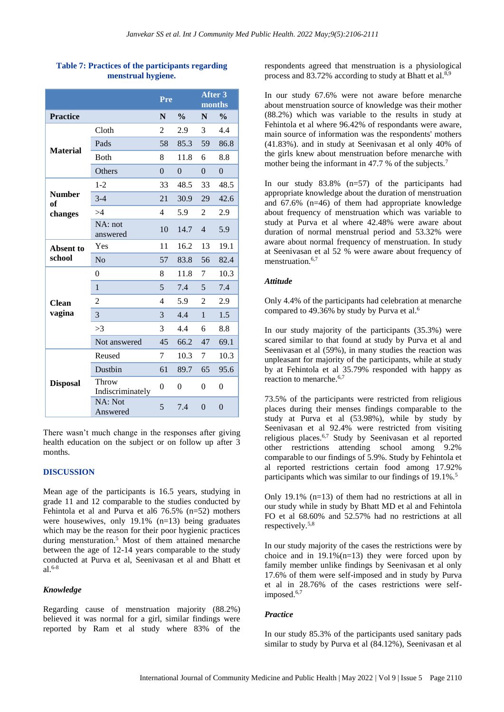|                     |                           | Pre            |               | <b>After 3</b><br>months |               |
|---------------------|---------------------------|----------------|---------------|--------------------------|---------------|
| <b>Practice</b>     |                           | N              | $\frac{0}{0}$ | N                        | $\frac{0}{0}$ |
| <b>Material</b>     | Cloth                     | 2              | 2.9           | 3                        | 4.4           |
|                     | Pads                      | 58             | 85.3          | 59                       | 86.8          |
|                     | <b>B</b> oth              | 8              | 11.8          | 6                        | 8.8           |
|                     | Others                    | $\theta$       | $\theta$      | $\theta$                 | $\Omega$      |
|                     | $1 - 2$                   | 33             | 48.5          | 33                       | 48.5          |
| <b>Number</b><br>of | $3-4$                     | 21             | 30.9          | 29                       | 42.6          |
| changes             | >4                        | $\overline{4}$ | 5.9           | $\overline{2}$           | 2.9           |
|                     | $NA$ : not<br>answered    | 10             | 14.7          | $\overline{4}$           | 5.9           |
| Absent to           | Yes                       | 11             | 16.2          | 13                       | 19.1          |
| school              | No                        | 57             | 83.8          | 56                       | 82.4          |
|                     | $\overline{0}$            | 8              | 11.8          | 7                        | 10.3          |
|                     | $\mathbf{1}$              | 5              | 7.4           | 5                        | 7.4           |
| <b>Clean</b>        | $\overline{2}$            | $\overline{4}$ | 5.9           | $\overline{2}$           | 2.9           |
| vagina              | 3                         | 3              | 4.4           | $\mathbf{1}$             | 1.5           |
|                     | >3                        | 3              | 4.4           | 6                        | 8.8           |
|                     | Not answered              | 45             | 66.2          | 47                       | 69.1          |
|                     | Reused                    | 7              | 10.3          | 7                        | 10.3          |
|                     | Dustbin                   | 61             | 89.7          | 65                       | 95.6          |
| <b>Disposal</b>     | Throw<br>Indiscriminately | $\theta$       | $\theta$      | $\theta$                 | $\theta$      |
|                     | NA: Not<br>Answered       | 5              | 7.4           | $\theta$                 | $\theta$      |

# **Table 7: Practices of the participants regarding menstrual hygiene.**

There wasn't much change in the responses after giving health education on the subject or on follow up after 3 months.

#### **DISCUSSION**

Mean age of the participants is 16.5 years, studying in grade 11 and 12 comparable to the studies conducted by Fehintola et al and Purva et al6 76.5% (n=52) mothers were housewives, only 19.1% (n=13) being graduates which may be the reason for their poor hygienic practices during mensturation.<sup>5</sup> Most of them attained menarche between the age of 12-14 years comparable to the study conducted at Purva et al, Seenivasan et al and Bhatt et al.6-8

#### *Knowledge*

Regarding cause of menstruation majority (88.2%) believed it was normal for a girl, similar findings were reported by Ram et al study where 83% of the respondents agreed that menstruation is a physiological process and 83.72% according to study at Bhatt et al.<sup>8,9</sup>

In our study 67.6% were not aware before menarche about menstruation source of knowledge was their mother (88.2%) which was variable to the results in study at Fehintola et al where 96.42% of respondants were aware, main source of information was the respondents' mothers (41.83%). and in study at Seenivasan et al only 40% of the girls knew about menstruation before menarche with mother being the informant in 47.7 % of the subjects.<sup>7</sup>

In our study 83.8% (n=57) of the participants had appropriate knowledge about the duration of menstruation and 67.6% (n=46) of them had appropriate knowledge about frequency of menstruation which was variable to study at Purva et al where 42.48% were aware about duration of normal menstrual period and 53.32% were aware about normal frequency of menstruation. In study at Seenivasan et al 52 % were aware about frequency of menstruation.<sup>6,7</sup>

#### *Attitude*

Only 4.4% of the participants had celebration at menarche compared to 49.36% by study by Purva et al.<sup>6</sup>

In our study majority of the participants (35.3%) were scared similar to that found at study by Purva et al and Seenivasan et al (59%), in many studies the reaction was unpleasant for majority of the participants, while at study by at Fehintola et al 35.79% responded with happy as reaction to menarche.<sup>6,7</sup>

73.5% of the participants were restricted from religious places during their menses findings comparable to the study at Purva et al (53.98%), while by study by Seenivasan et al 92.4% were restricted from visiting religious places.6,7 Study by Seenivasan et al reported other restrictions attending school among 9.2% comparable to our findings of 5.9%. Study by Fehintola et al reported restrictions certain food among 17.92% participants which was similar to our findings of 19.1%.<sup>5</sup>

Only 19.1%  $(n=13)$  of them had no restrictions at all in our study while in study by Bhatt MD et al and Fehintola FO et al 68.60% and 52.57% had no restrictions at all respectively.5,8

In our study majority of the cases the restrictions were by choice and in  $19.1\%$  (n=13) they were forced upon by family member unlike findings by Seenivasan et al only 17.6% of them were self-imposed and in study by Purva et al in 28.76% of the cases restrictions were selfimposed.<sup>6,7</sup>

#### *Practice*

In our study 85.3% of the participants used sanitary pads similar to study by Purva et al (84.12%), Seenivasan et al